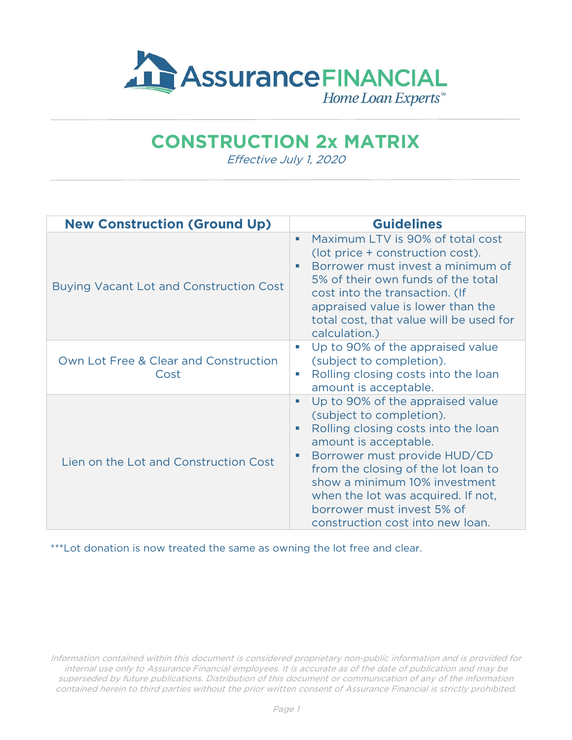

## **CONSTRUCTION 2x MATRIX**

Effective July 1, 2020

| <b>New Construction (Ground Up)</b>            | <b>Guidelines</b>                                                                                                                                                                                                                                                                                                                                        |
|------------------------------------------------|----------------------------------------------------------------------------------------------------------------------------------------------------------------------------------------------------------------------------------------------------------------------------------------------------------------------------------------------------------|
| <b>Buying Vacant Lot and Construction Cost</b> | Maximum LTV is 90% of total cost<br>٠<br>(lot price + construction cost).<br>Borrower must invest a minimum of<br>п<br>5% of their own funds of the total<br>cost into the transaction. (If<br>appraised value is lower than the<br>total cost, that value will be used for<br>calculation.)                                                             |
| Own Lot Free & Clear and Construction<br>Cost  | Up to 90% of the appraised value<br>U.<br>(subject to completion).<br>Rolling closing costs into the loan<br>u.<br>amount is acceptable.                                                                                                                                                                                                                 |
| Lien on the Lot and Construction Cost          | Up to 90% of the appraised value<br>×.<br>(subject to completion).<br>Rolling closing costs into the loan<br>u.<br>amount is acceptable.<br>Borrower must provide HUD/CD<br>from the closing of the lot loan to<br>show a minimum 10% investment<br>when the lot was acquired. If not,<br>borrower must invest 5% of<br>construction cost into new loan. |

\*\*\*Lot donation is now treated the same as owning the lot free and clear.

Information contained within this document is considered proprietary non-public information and is provided for internal use only to Assurance Financial employees. It is accurate as of the date of publication and may be superseded by future publications. Distribution of this document or communication of any of the information contained herein to third parties without the prior written consent of Assurance Financial is strictly prohibited.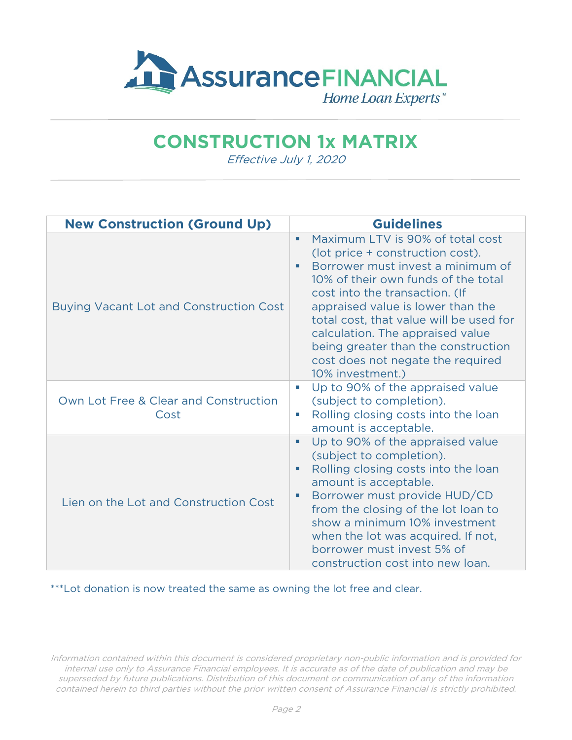

## **CONSTRUCTION 1x MATRIX**

Effective July 1, 2020

| <b>New Construction (Ground Up)</b>            | <b>Guidelines</b>                                                                                                                                                                                                                                                                                                                                                                                                |
|------------------------------------------------|------------------------------------------------------------------------------------------------------------------------------------------------------------------------------------------------------------------------------------------------------------------------------------------------------------------------------------------------------------------------------------------------------------------|
| <b>Buying Vacant Lot and Construction Cost</b> | Maximum LTV is 90% of total cost<br>٠<br>(lot price + construction cost).<br>Borrower must invest a minimum of<br>п<br>10% of their own funds of the total<br>cost into the transaction. (If<br>appraised value is lower than the<br>total cost, that value will be used for<br>calculation. The appraised value<br>being greater than the construction<br>cost does not negate the required<br>10% investment.) |
| Own Lot Free & Clear and Construction<br>Cost  | Up to 90% of the appraised value<br>u.<br>(subject to completion).<br>Rolling closing costs into the loan<br>×<br>amount is acceptable.                                                                                                                                                                                                                                                                          |
| Lien on the Lot and Construction Cost          | Up to 90% of the appraised value<br>٠<br>(subject to completion).<br>Rolling closing costs into the loan<br>amount is acceptable.<br>Borrower must provide HUD/CD<br>×<br>from the closing of the lot loan to<br>show a minimum 10% investment<br>when the lot was acquired. If not,<br>borrower must invest 5% of<br>construction cost into new loan.                                                           |

\*\*\*Lot donation is now treated the same as owning the lot free and clear.

Information contained within this document is considered proprietary non-public information and is provided for internal use only to Assurance Financial employees. It is accurate as of the date of publication and may be superseded by future publications. Distribution of this document or communication of any of the information contained herein to third parties without the prior written consent of Assurance Financial is strictly prohibited.